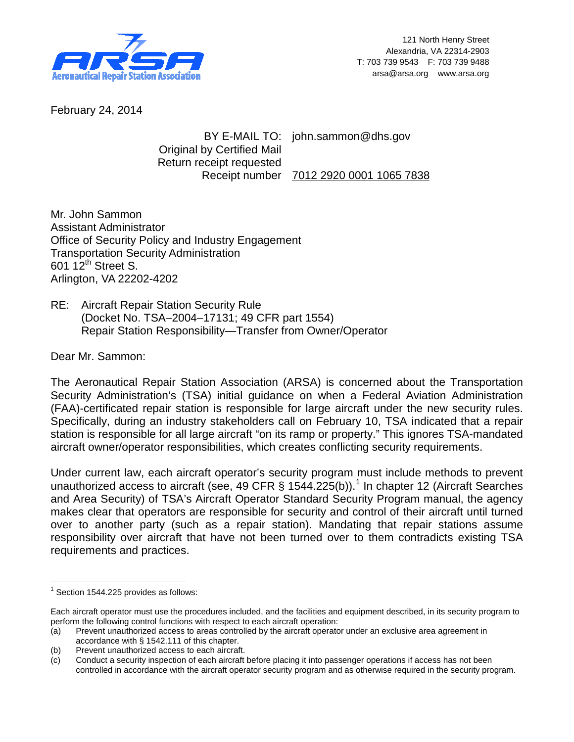

February 24, 2014

BY E-MAIL TO: john.sammon@dhs.gov Original by Certified Mail Return receipt requested Receipt number 7012 2920 0001 1065 7838

Mr. John Sammon Assistant Administrator Office of Security Policy and Industry Engagement Transportation Security Administration 601 12<sup>th</sup> Street S. Arlington, VA 22202-4202

RE: Aircraft Repair Station Security Rule (Docket No. TSA–2004–17131; 49 CFR part 1554) Repair Station Responsibility—Transfer from Owner/Operator

Dear Mr. Sammon:

The Aeronautical Repair Station Association (ARSA) is concerned about the Transportation Security Administration's (TSA) initial guidance on when a Federal Aviation Administration (FAA)-certificated repair station is responsible for large aircraft under the new security rules. Specifically, during an industry stakeholders call on February 10, TSA indicated that a repair station is responsible for all large aircraft "on its ramp or property." This ignores TSA-mandated aircraft owner/operator responsibilities, which creates conflicting security requirements.

Under current law, each aircraft operator's security program must include methods to prevent unauthorized access to aircraft (see, 49 CFR § [1](#page-0-0)544.225(b)).<sup>1</sup> In chapter 12 (Aircraft Searches and Area Security) of TSA's Aircraft Operator Standard Security Program manual, the agency makes clear that operators are responsible for security and control of their aircraft until turned over to another party (such as a repair station). Mandating that repair stations assume responsibility over aircraft that have not been turned over to them contradicts existing TSA requirements and practices.

<span id="page-0-0"></span> $1$  Section 1544.225 provides as follows:

Each aircraft operator must use the procedures included, and the facilities and equipment described, in its security program to perform the following control functions with respect to each aircraft operation:

<sup>(</sup>a) Prevent unauthorized access to areas controlled by the aircraft operator under an exclusive area agreement in accordance with § 1542.111 of this chapter.

<sup>(</sup>b) Prevent unauthorized access to each aircraft.

<sup>(</sup>c) Conduct a security inspection of each aircraft before placing it into passenger operations if access has not been controlled in accordance with the aircraft operator security program and as otherwise required in the security program.